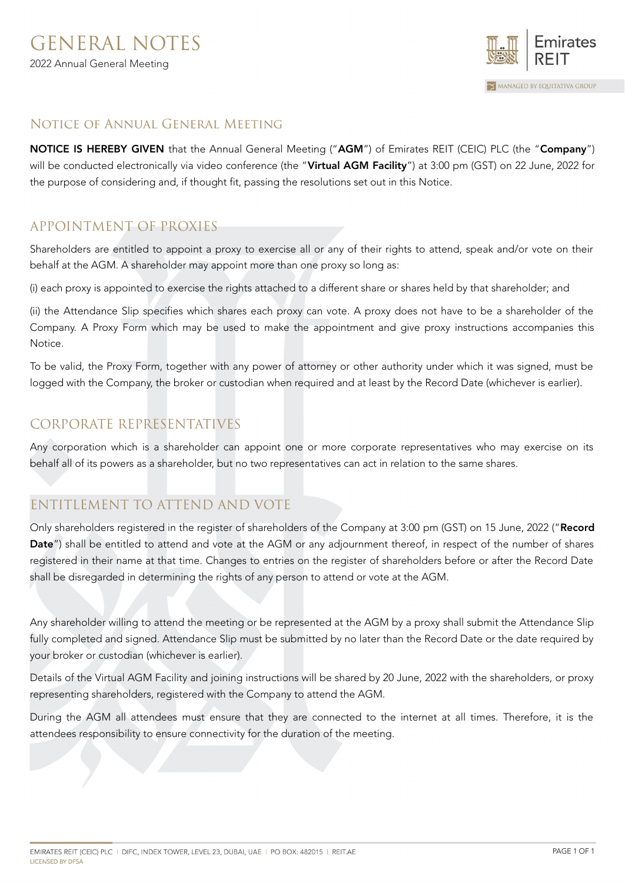

## Notice of Annual General Meeting

NOTICE IS HEREBY GIVEN that the Annual General Meeting ("AGM") of Emirates REIT (CEIC) PLC (the "Company") will be conducted electronically via video conference (the "Virtual AGM Facility") at 3:00 pm (GST) on 22 June, 2022 for the purpose of considering and, if thought fit, passing the resolutions set out in this Notice.

## APPOINTMENT OF PROXIES

Shareholders are entitled to appoint a proxy to exercise all or any of their rights to attend, speak and/or vote on their behalf at the AGM. A shareholder may appoint more than one proxy so long as:

(i) each proxy is appointed to exercise the rights attached to a different share or shares held by that shareholder; and

(ii) the Attendance Slip specifies which shares each proxy can vote. A proxy does not have to be a shareholder of the Company. A Proxy Form which may be used to make the appointment and give proxy instructions accompanies this Notice.

To be valid, the Proxy Form, together with any power of attorney or other authority under which it was signed, must be logged with the Company, the broker or custodian when required and at least by the Record Date (whichever is earlier).

# CORPORATE REPRESENTATIVES

Any corporation which is a shareholder can appoint one or more corporate representatives who may exercise on its behalf all of its powers as a shareholder, but no two representatives can act in relation to the same shares.

# ENTITLEMENT TO ATTEND AND VOTE

Only shareholders registered in the register of shareholders of the Company at 3:00 pm (GST) on 15 June, 2022 ("Record Date") shall be entitled to attend and vote at the AGM or any adjournment thereof, in respect of the number of shares registered in their name at that time. Changes to entries on the register of shareholders before or after the Record Date shall be disregarded in determining the rights of any person to attend or vote at the AGM.

Any shareholder willing to attend the meeting or be represented at the AGM by a proxy shall submit the Attendance Slip fully completed and signed. Attendance Slip must be submitted by no later than the Record Date or the date required by your broker or custodian (whichever is earlier).

Details of the Virtual AGM Facility and joining instructions will be shared by 20 June, 2022 with the shareholders, or proxy representing shareholders, registered with the Company to attend the AGM.

During the AGM all attendees must ensure that they are connected to the internet at all times. Therefore, it is the attendees responsibility to ensure connectivity for the duration of the meeting.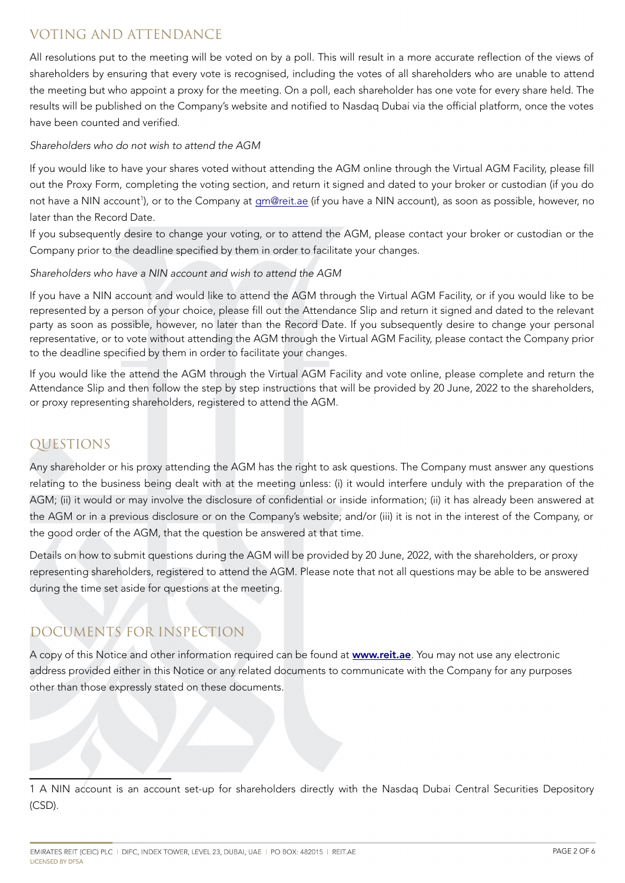# VOTING AND ATTENDANCE

All resolutions put to the meeting will be voted on by a poll. This will result in a more accurate reflection of the views of shareholders by ensuring that every vote is recognised, including the votes of all shareholders who are unable to attend the meeting but who appoint a proxy for the meeting. On a poll, each shareholder has one vote for every share held. The results will be published on the Company's website and notified to Nasdaq Dubai via the official platform, once the votes have been counted and verified.

Shareholders who do not wish to attend the AGM

<span id="page-1-0"></span>If you would like to have your shares voted without attending the AGM online through the Virtual AGM Facility, please fill out the Proxy Form, completing the voting section, and return it signed and dated to your broker or custodian (if you do not have a NIN account<sup>[1](#page-1-1)</sup>), or to the Company at <u>gm@reit.ae</u> (if you have a NIN account), as soon as possible, however, no later than the Record Date.

If you subsequently desire to change your voting, or to attend the AGM, please contact your broker or custodian or the Company prior to the deadline specified by them in order to facilitate your changes.

Shareholders who have a NIN account and wish to attend the AGM

If you have a NIN account and would like to attend the AGM through the Virtual AGM Facility, or if you would like to be represented by a person of your choice, please fill out the Attendance Slip and return it signed and dated to the relevant party as soon as possible, however, no later than the Record Date. If you subsequently desire to change your personal representative, or to vote without attending the AGM through the Virtual AGM Facility, please contact the Company prior to the deadline specified by them in order to facilitate your changes.

If you would like the attend the AGM through the Virtual AGM Facility and vote online, please complete and return the Attendance Slip and then follow the step by step instructions that will be provided by 20 June, 2022 to the shareholders, or proxy representing shareholders, registered to attend the AGM.

# QUESTIONS

Any shareholder or his proxy attending the AGM has the right to ask questions. The Company must answer any questions relating to the business being dealt with at the meeting unless: (i) it would interfere unduly with the preparation of the AGM; (ii) it would or may involve the disclosure of confidential or inside information; (ii) it has already been answered at the AGM or in a previous disclosure or on the Company's website; and/or (iii) it is not in the interest of the Company, or the good order of the AGM, that the question be answered at that time.

Details on how to submit questions during the AGM will be provided by 20 June, 2022, with the shareholders, or proxy representing shareholders, registered to attend the AGM. Please note that not all questions may be able to be answered during the time set aside for questions at the meeting.

# DOCUMENTS FOR INSPECTION

A copy of this Notice and other information required can be found at **[www.reit.ae](http://www.reit.ae/)**. You may not use any electronic address provided either in this Notice or any related documents to communicate with the Company for any purposes other than those expressly stated on these documents.

<span id="page-1-1"></span>[<sup>1</sup>](#page-1-0) A NIN account is an account set-up for shareholders directly with the Nasdaq Dubai Central Securities Depository (CSD).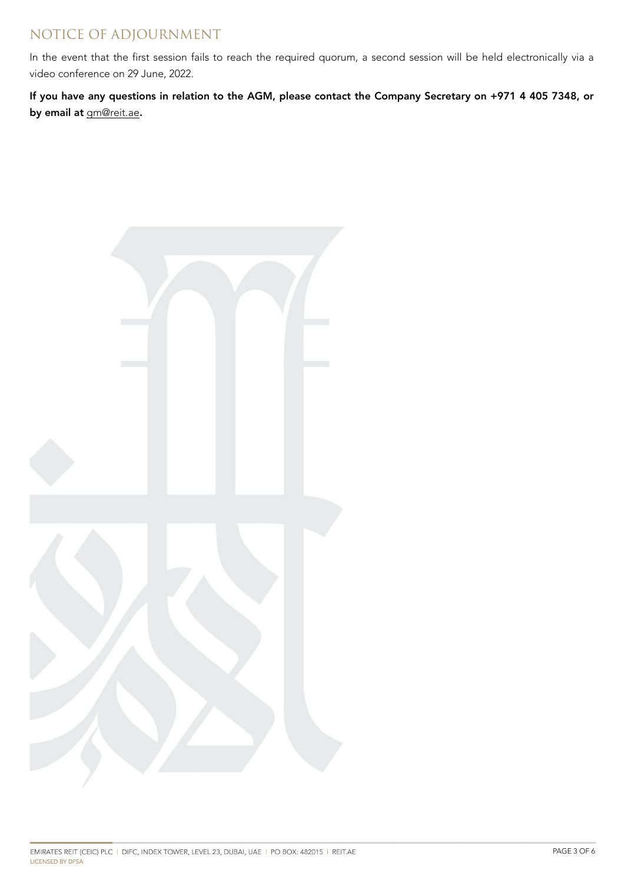# NOTICE OF ADJOURNMENT

In the event that the first session fails to reach the required quorum, a second session will be held electronically via a video conference on 29 June, 2022.

If you have any questions in relation to the AGM, please contact the Company Secretary on +971 4 405 7348, or by email at **[gm@reit.ae](mailto:gm@reit.ae)**.

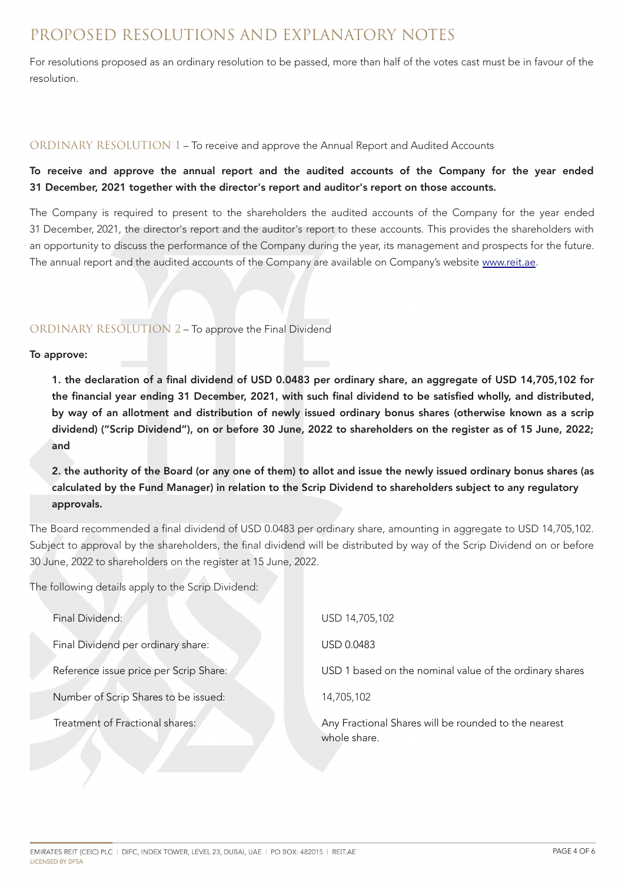# PROPOSED RESOLUTIONS AND EXPLANATORY NOTES

For resolutions proposed as an ordinary resolution to be passed, more than half of the votes cast must be in favour of the resolution.

#### ORDINARY RESOLUTION 1 – To receive and approve the Annual Report and Audited Accounts

### To receive and approve the annual report and the audited accounts of the Company for the year ended 31 December, 2021 together with the director's report and auditor's report on those accounts.

The Company is required to present to the shareholders the audited accounts of the Company for the year ended 31 December, 2021, the director's report and the auditor's report to these accounts. This provides the shareholders with an opportunity to discuss the performance of the Company during the year, its management and prospects for the future. The annual report and the audited accounts of the Company are available on Company's website [www.reit.ae.](http://www.reit.ae/)

### ORDINARY RESOLUTION 2 – To approve the Final Dividend

#### To approve:

1. the declaration of a final dividend of USD 0.0483 per ordinary share, an aggregate of USD 14,705,102 for the financial year ending 31 December, 2021, with such final dividend to be satisfied wholly, and distributed, by way of an allotment and distribution of newly issued ordinary bonus shares (otherwise known as a scrip dividend) ("Scrip Dividend"), on or before 30 June, 2022 to shareholders on the register as of 15 June, 2022; and

2. the authority of the Board (or any one of them) to allot and issue the newly issued ordinary bonus shares (as calculated by the Fund Manager) in relation to the Scrip Dividend to shareholders subject to any regulatory approvals.

The Board recommended a final dividend of USD 0.0483 per ordinary share, amounting in aggregate to USD 14,705,102. Subject to approval by the shareholders, the final dividend will be distributed by way of the Scrip Dividend on or before 30 June, 2022 to shareholders on the register at 15 June, 2022.

The following details apply to the Scrip Dividend:

| Final Dividend:                        | USD 14,705,102                                                       |
|----------------------------------------|----------------------------------------------------------------------|
| Final Dividend per ordinary share:     | USD 0.0483                                                           |
| Reference issue price per Scrip Share: | USD 1 based on the nominal value of the ordinary shares              |
| Number of Scrip Shares to be issued:   | 14,705,102                                                           |
| Treatment of Fractional shares:        | Any Fractional Shares will be rounded to the nearest<br>whole share. |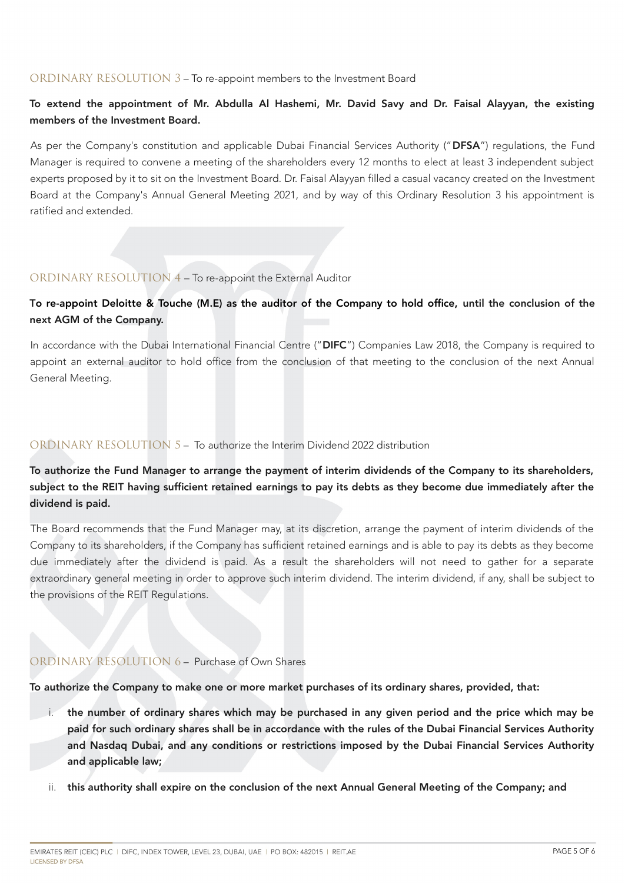#### ORDINARY RESOLUTION 3 – To re-appoint members to the Investment Board

### To extend the appointment of Mr. Abdulla Al Hashemi, Mr. David Savy and Dr. Faisal Alayyan, the existing members of the Investment Board.

As per the Company's constitution and applicable Dubai Financial Services Authority ("DFSA") regulations, the Fund Manager is required to convene a meeting of the shareholders every 12 months to elect at least 3 independent subject experts proposed by it to sit on the Investment Board. Dr. Faisal Alayyan filled a casual vacancy created on the Investment Board at the Company's Annual General Meeting 2021, and by way of this Ordinary Resolution 3 his appointment is ratified and extended.

#### ORDINARY RESOLUTION 4 – To re-appoint the External Auditor

### To re-appoint Deloitte & Touche (M.E) as the auditor of the Company to hold office, until the conclusion of the next AGM of the Company.

In accordance with the Dubai International Financial Centre ("DIFC") Companies Law 2018, the Company is required to appoint an external auditor to hold office from the conclusion of that meeting to the conclusion of the next Annual General Meeting.

#### ORDINARY RESOLUTION 5 – To authorize the Interim Dividend 2022 distribution

## To authorize the Fund Manager to arrange the payment of interim dividends of the Company to its shareholders, subject to the REIT having sufficient retained earnings to pay its debts as they become due immediately after the dividend is paid.

The Board recommends that the Fund Manager may, at its discretion, arrange the payment of interim dividends of the Company to its shareholders, if the Company has sufficient retained earnings and is able to pay its debts as they become due immediately after the dividend is paid. As a result the shareholders will not need to gather for a separate extraordinary general meeting in order to approve such interim dividend. The interim dividend, if any, shall be subject to the provisions of the REIT Regulations.

## ORDINARY RESOLUTION 6 – Purchase of Own Shares

To authorize the Company to make one or more market purchases of its ordinary shares, provided, that:

- the number of ordinary shares which may be purchased in any given period and the price which may be paid for such ordinary shares shall be in accordance with the rules of the Dubai Financial Services Authority and Nasdaq Dubai, and any conditions or restrictions imposed by the Dubai Financial Services Authority and applicable law;
- ii. this authority shall expire on the conclusion of the next Annual General Meeting of the Company; and